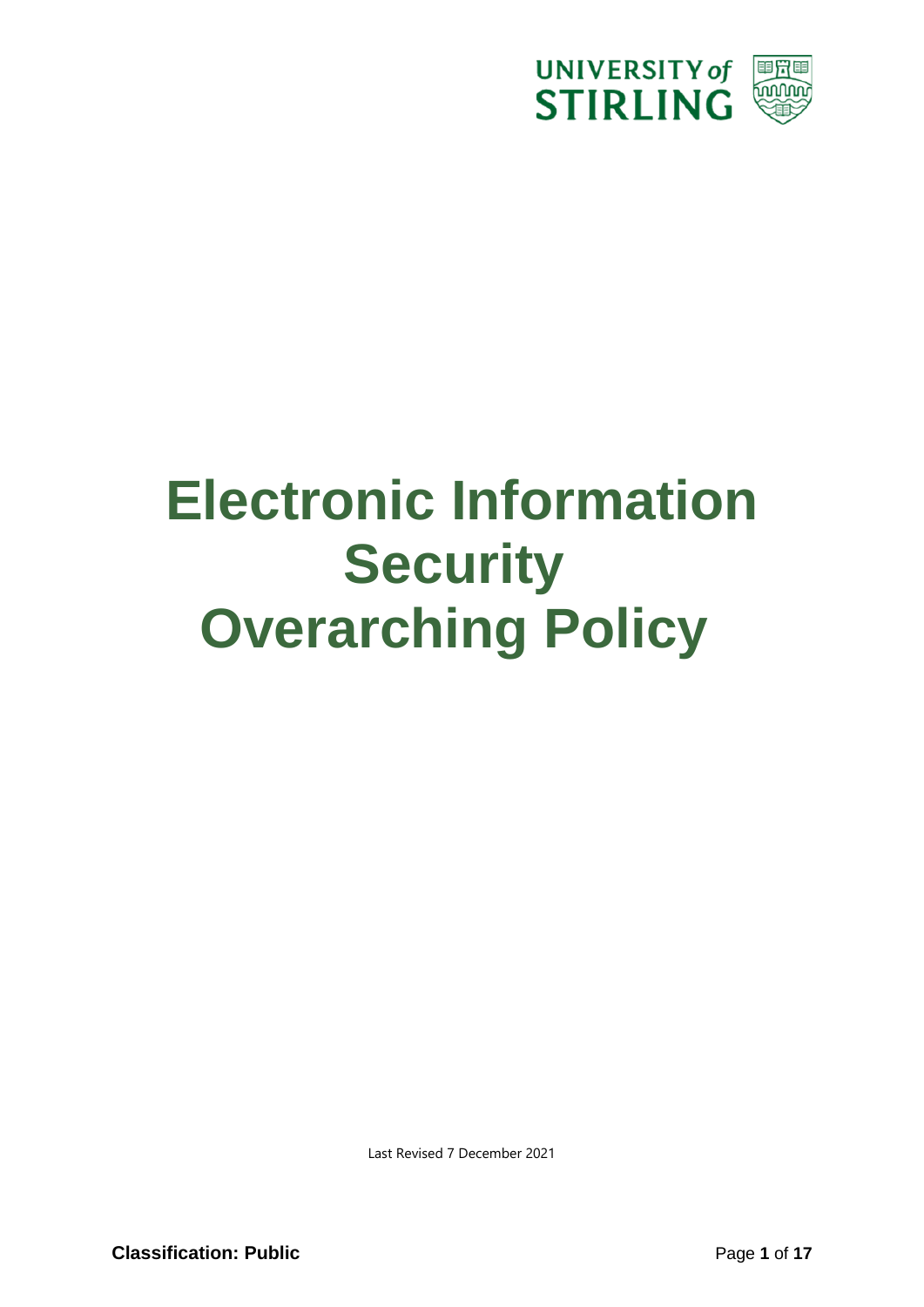

# **Electronic Information Security Overarching Policy**

Last Revised 7 December 2021

**Classification: Public** Page 1 of 17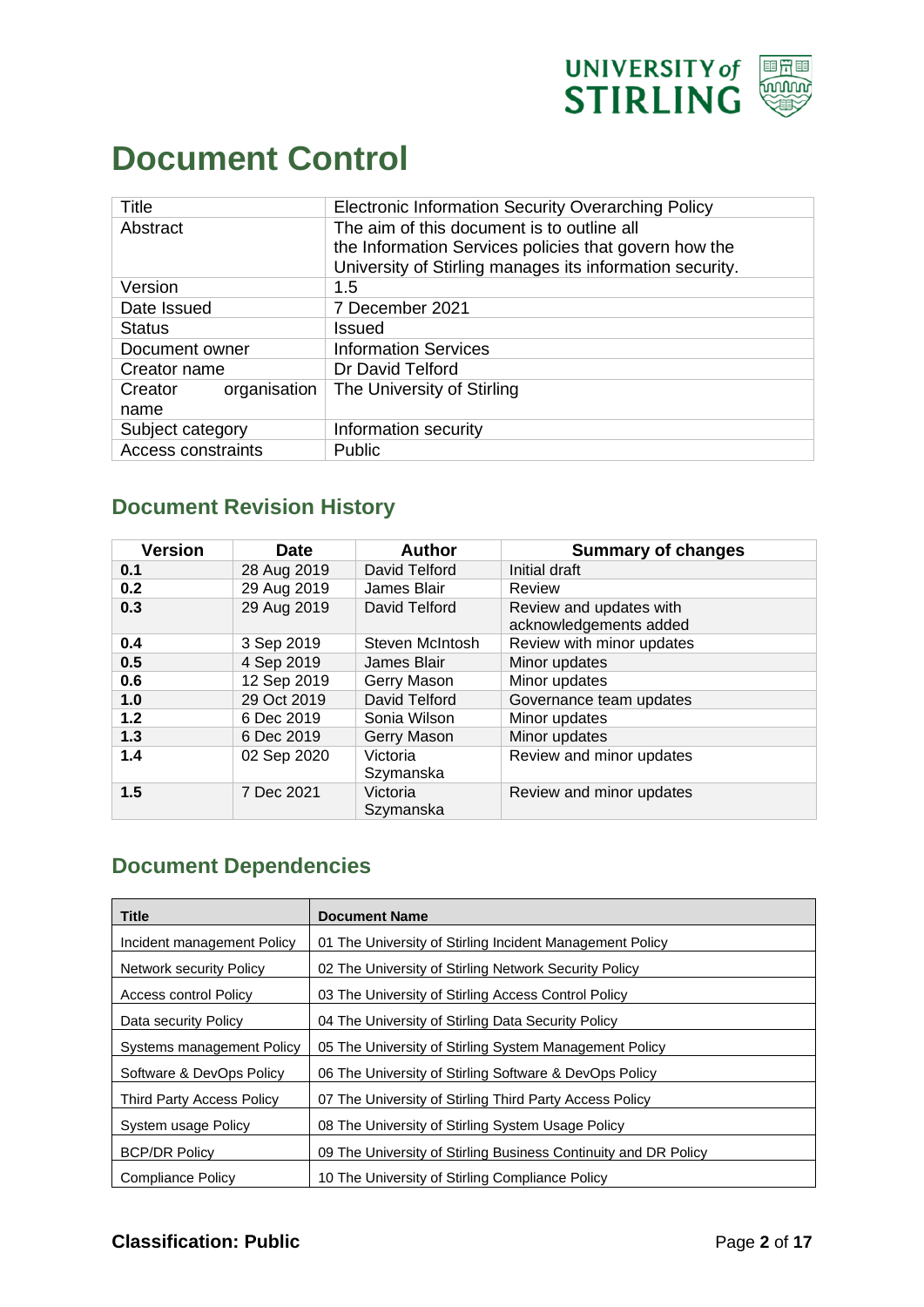

#### <span id="page-1-0"></span>**Document Control**

| Title                     | <b>Electronic Information Security Overarching Policy</b> |
|---------------------------|-----------------------------------------------------------|
| Abstract                  | The aim of this document is to outline all                |
|                           | the Information Services policies that govern how the     |
|                           | University of Stirling manages its information security.  |
| Version                   | 1.5                                                       |
| Date Issued               | 7 December 2021                                           |
| <b>Status</b>             | <b>Issued</b>                                             |
| Document owner            | <b>Information Services</b>                               |
| Creator name              | Dr David Telford                                          |
| organisation<br>Creator   | The University of Stirling                                |
| name                      |                                                           |
| Subject category          | Information security                                      |
| <b>Access constraints</b> | Public                                                    |

#### **Document Revision History**

| <b>Version</b> | <b>Date</b> | <b>Author</b>         | <b>Summary of changes</b>                         |
|----------------|-------------|-----------------------|---------------------------------------------------|
| 0.1            | 28 Aug 2019 | David Telford         | Initial draft                                     |
| 0.2            | 29 Aug 2019 | James Blair           | Review                                            |
| 0.3            | 29 Aug 2019 | David Telford         | Review and updates with<br>acknowledgements added |
| 0.4            | 3 Sep 2019  | Steven McIntosh       | Review with minor updates                         |
| 0.5            | 4 Sep 2019  | James Blair           | Minor updates                                     |
| 0.6            | 12 Sep 2019 | Gerry Mason           | Minor updates                                     |
| 1.0            | 29 Oct 2019 | David Telford         | Governance team updates                           |
| 1.2            | 6 Dec 2019  | Sonia Wilson          | Minor updates                                     |
| 1.3            | 6 Dec 2019  | Gerry Mason           | Minor updates                                     |
| 1.4            | 02 Sep 2020 | Victoria<br>Szymanska | Review and minor updates                          |
| 1.5            | 7 Dec 2021  | Victoria<br>Szymanska | Review and minor updates                          |

#### **Document Dependencies**

| <b>Title</b>               | <b>Document Name</b>                                            |
|----------------------------|-----------------------------------------------------------------|
| Incident management Policy | 01 The University of Stirling Incident Management Policy        |
| Network security Policy    | 02 The University of Stirling Network Security Policy           |
| Access control Policy      | 03 The University of Stirling Access Control Policy             |
| Data security Policy       | 04 The University of Stirling Data Security Policy              |
| Systems management Policy  | 05 The University of Stirling System Management Policy          |
| Software & DevOps Policy   | 06 The University of Stirling Software & DevOps Policy          |
| Third Party Access Policy  | 07 The University of Stirling Third Party Access Policy         |
| System usage Policy        | 08 The University of Stirling System Usage Policy               |
| <b>BCP/DR Policy</b>       | 09 The University of Stirling Business Continuity and DR Policy |
| Compliance Policy          | 10 The University of Stirling Compliance Policy                 |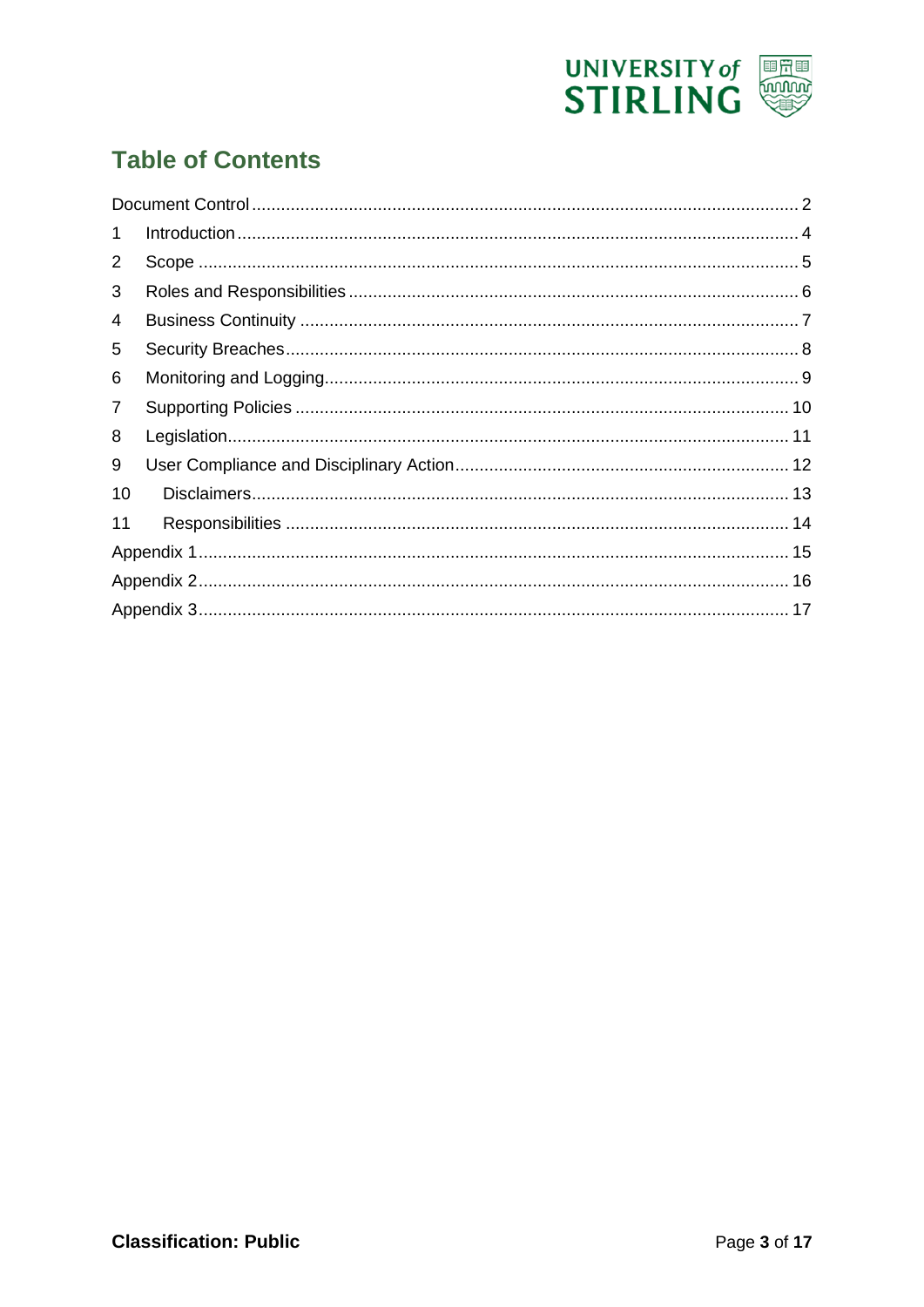

#### **Table of Contents**

| 1              |  |
|----------------|--|
| $\overline{2}$ |  |
| 3              |  |
| 4              |  |
| 5              |  |
| 6              |  |
| 7              |  |
| 8              |  |
| 9              |  |
| 10             |  |
| 11             |  |
|                |  |
|                |  |
|                |  |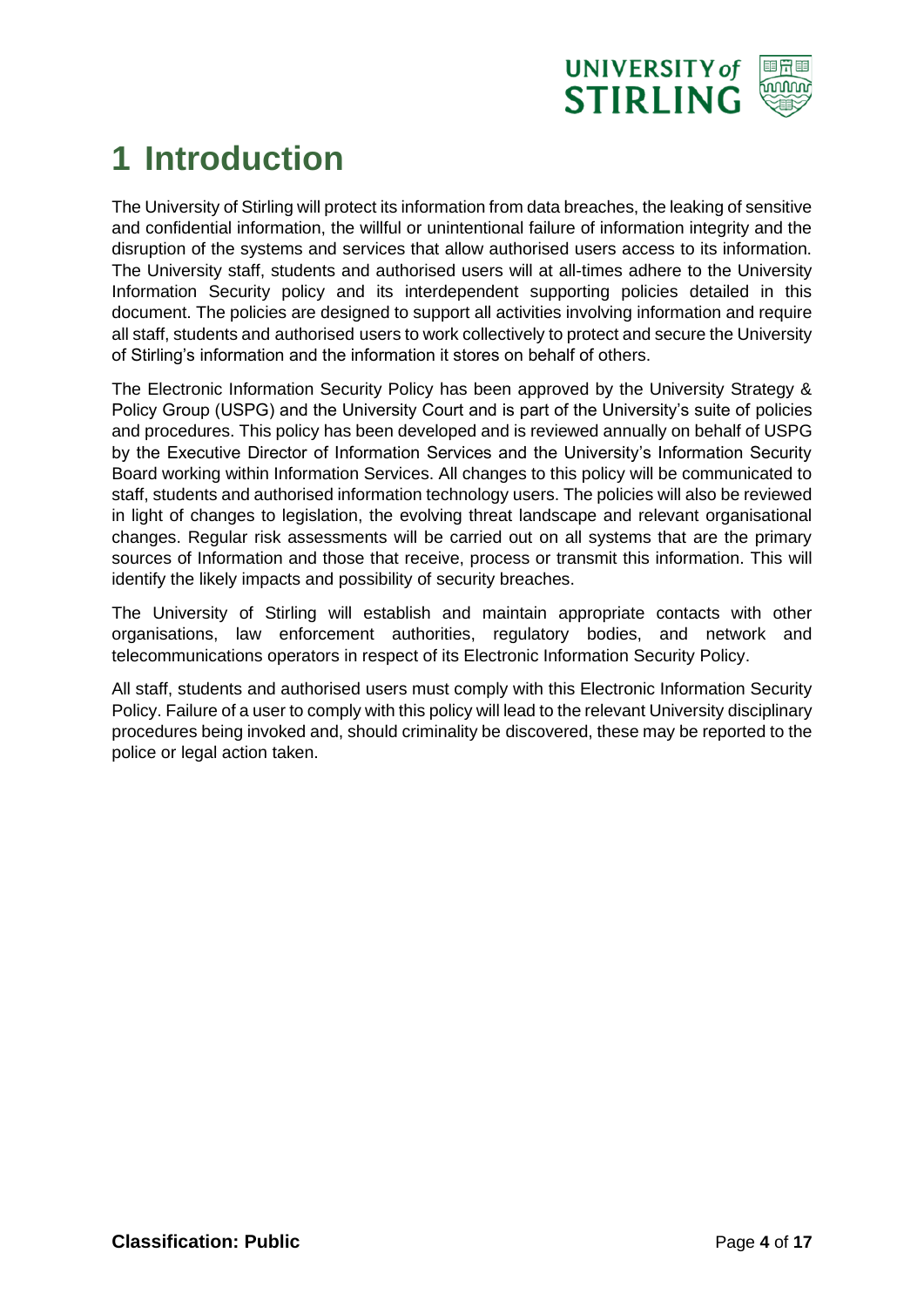

### <span id="page-3-0"></span>**1 Introduction**

The University of Stirling will protect its information from data breaches, the leaking of sensitive and confidential information, the willful or unintentional failure of information integrity and the disruption of the systems and services that allow authorised users access to its information. The University staff, students and authorised users will at all-times adhere to the University Information Security policy and its interdependent supporting policies detailed in this document. The policies are designed to support all activities involving information and require all staff, students and authorised users to work collectively to protect and secure the University of Stirling's information and the information it stores on behalf of others.

The Electronic Information Security Policy has been approved by the University Strategy & Policy Group (USPG) and the University Court and is part of the University's suite of policies and procedures. This policy has been developed and is reviewed annually on behalf of USPG by the Executive Director of Information Services and the University's Information Security Board working within Information Services. All changes to this policy will be communicated to staff, students and authorised information technology users. The policies will also be reviewed in light of changes to legislation, the evolving threat landscape and relevant organisational changes. Regular risk assessments will be carried out on all systems that are the primary sources of Information and those that receive, process or transmit this information. This will identify the likely impacts and possibility of security breaches.

The University of Stirling will establish and maintain appropriate contacts with other organisations, law enforcement authorities, regulatory bodies, and network and telecommunications operators in respect of its Electronic Information Security Policy.

All staff, students and authorised users must comply with this Electronic Information Security Policy. Failure of a user to comply with this policy will lead to the relevant University disciplinary procedures being invoked and, should criminality be discovered, these may be reported to the police or legal action taken.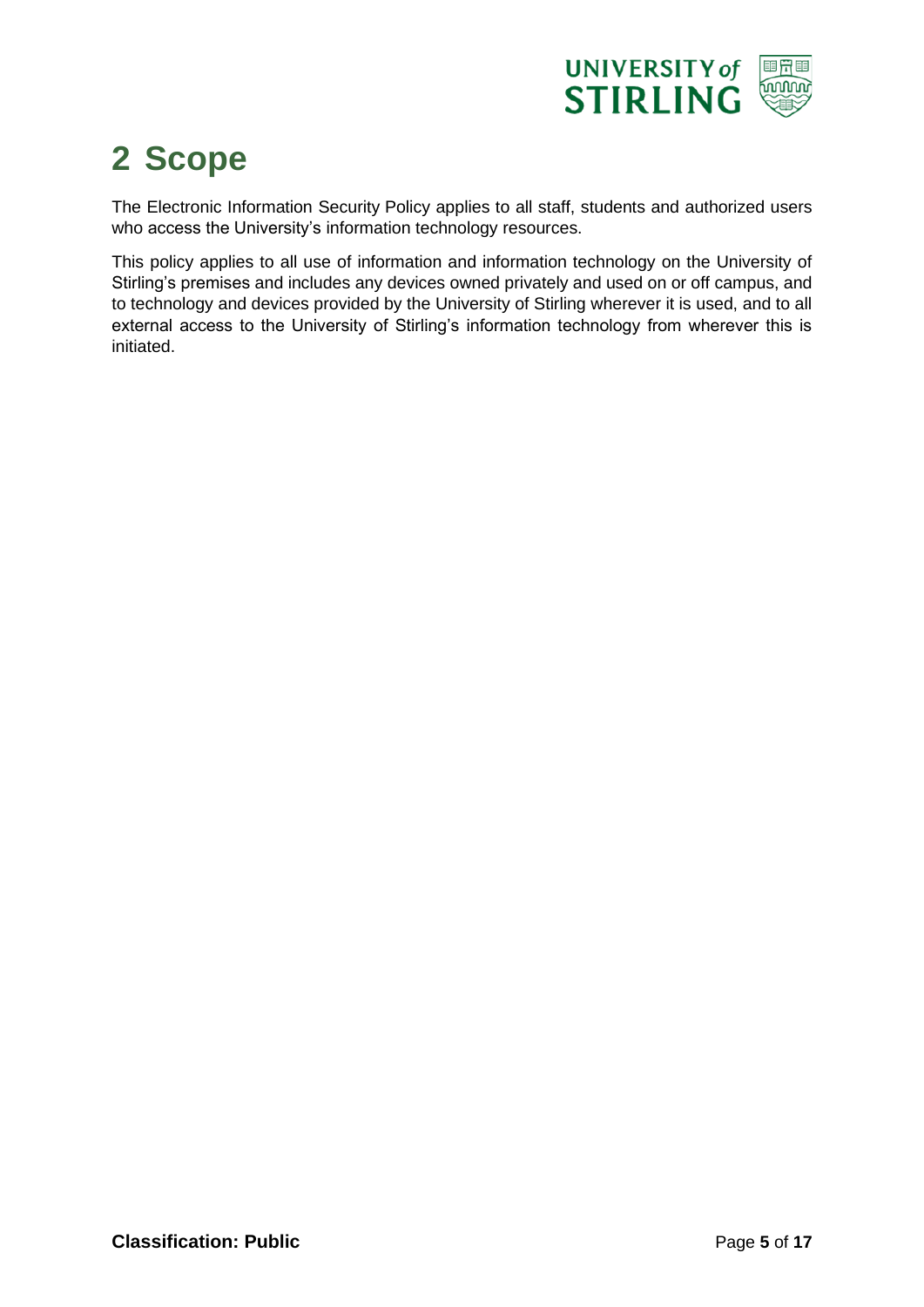

#### <span id="page-4-0"></span>**2 Scope**

The Electronic Information Security Policy applies to all staff, students and authorized users who access the University's information technology resources.

This policy applies to all use of information and information technology on the University of Stirling's premises and includes any devices owned privately and used on or off campus, and to technology and devices provided by the University of Stirling wherever it is used, and to all external access to the University of Stirling's information technology from wherever this is initiated.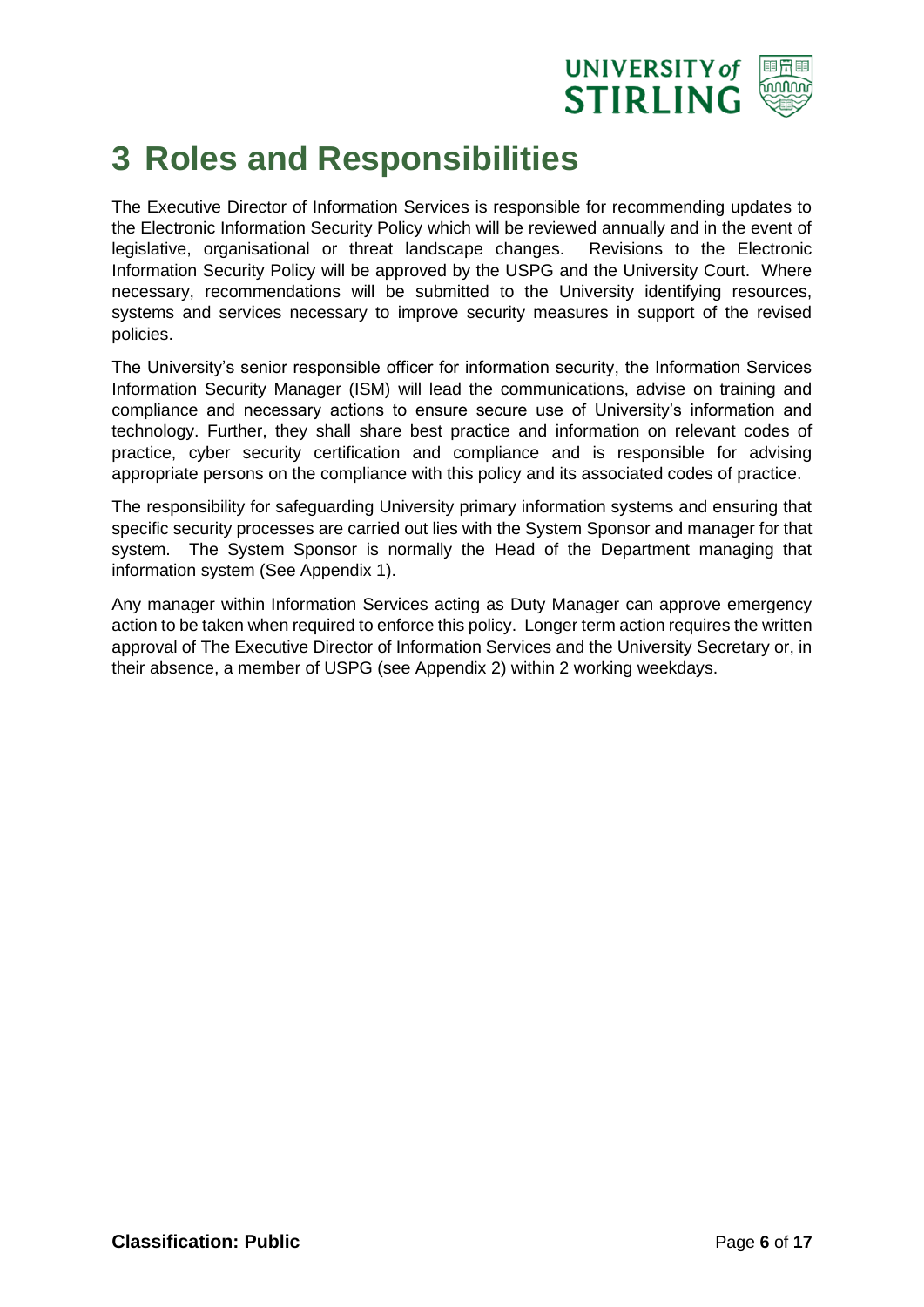

#### <span id="page-5-0"></span>**3 Roles and Responsibilities**

The Executive Director of Information Services is responsible for recommending updates to the Electronic Information Security Policy which will be reviewed annually and in the event of legislative, organisational or threat landscape changes. Revisions to the Electronic Information Security Policy will be approved by the USPG and the University Court. Where necessary, recommendations will be submitted to the University identifying resources, systems and services necessary to improve security measures in support of the revised policies.

The University's senior responsible officer for information security, the Information Services Information Security Manager (ISM) will lead the communications, advise on training and compliance and necessary actions to ensure secure use of University's information and technology. Further, they shall share best practice and information on relevant codes of practice, cyber security certification and compliance and is responsible for advising appropriate persons on the compliance with this policy and its associated codes of practice.

The responsibility for safeguarding University primary information systems and ensuring that specific security processes are carried out lies with the System Sponsor and manager for that system. The System Sponsor is normally the Head of the Department managing that information system (See Appendix 1).

Any manager within Information Services acting as Duty Manager can approve emergency action to be taken when required to enforce this policy. Longer term action requires the written approval of The Executive Director of Information Services and the University Secretary or, in their absence, a member of USPG (see Appendix 2) within 2 working weekdays.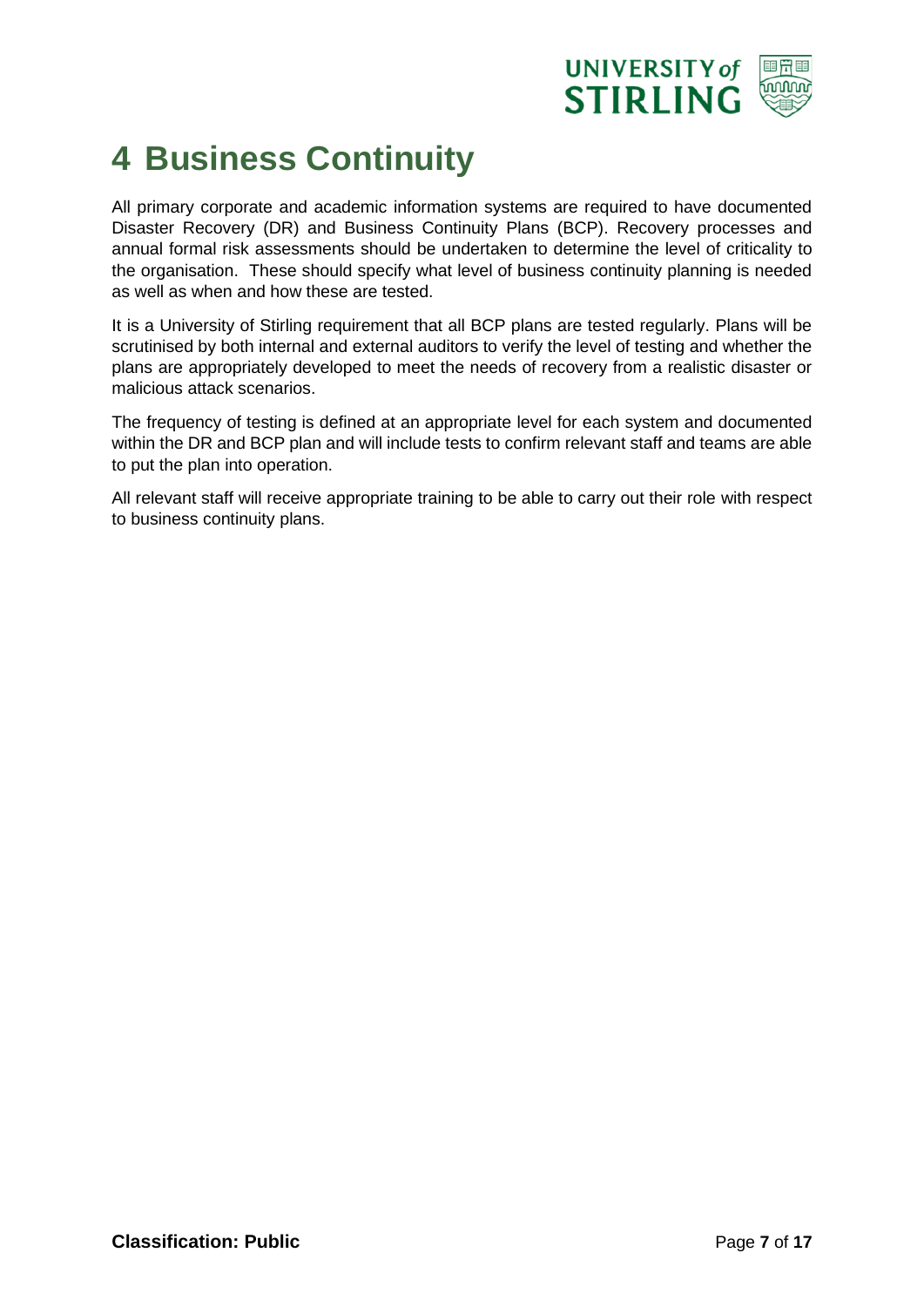

#### <span id="page-6-0"></span>**4 Business Continuity**

All primary corporate and academic information systems are required to have documented Disaster Recovery (DR) and Business Continuity Plans (BCP). Recovery processes and annual formal risk assessments should be undertaken to determine the level of criticality to the organisation. These should specify what level of business continuity planning is needed as well as when and how these are tested.

It is a University of Stirling requirement that all BCP plans are tested regularly. Plans will be scrutinised by both internal and external auditors to verify the level of testing and whether the plans are appropriately developed to meet the needs of recovery from a realistic disaster or malicious attack scenarios.

The frequency of testing is defined at an appropriate level for each system and documented within the DR and BCP plan and will include tests to confirm relevant staff and teams are able to put the plan into operation.

All relevant staff will receive appropriate training to be able to carry out their role with respect to business continuity plans.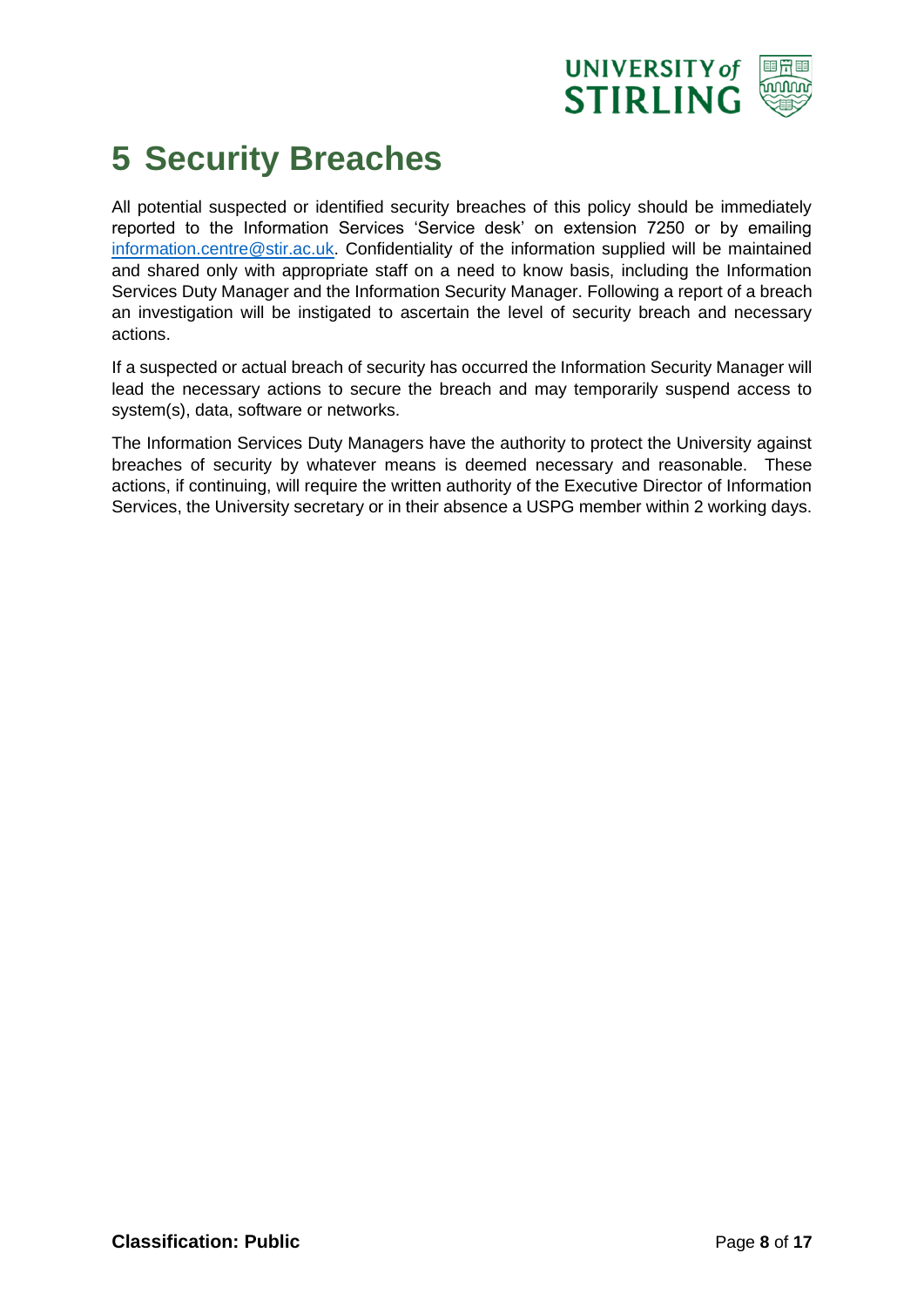

#### <span id="page-7-0"></span>**5 Security Breaches**

All potential suspected or identified security breaches of this policy should be immediately reported to the Information Services 'Service desk' on extension 7250 or by emailing [information.centre@stir.ac.uk.](mailto:information.centre@stir.ac.uk) Confidentiality of the information supplied will be maintained and shared only with appropriate staff on a need to know basis, including the Information Services Duty Manager and the Information Security Manager. Following a report of a breach an investigation will be instigated to ascertain the level of security breach and necessary actions.

If a suspected or actual breach of security has occurred the Information Security Manager will lead the necessary actions to secure the breach and may temporarily suspend access to system(s), data, software or networks.

The Information Services Duty Managers have the authority to protect the University against breaches of security by whatever means is deemed necessary and reasonable. These actions, if continuing, will require the written authority of the Executive Director of Information Services, the University secretary or in their absence a USPG member within 2 working days.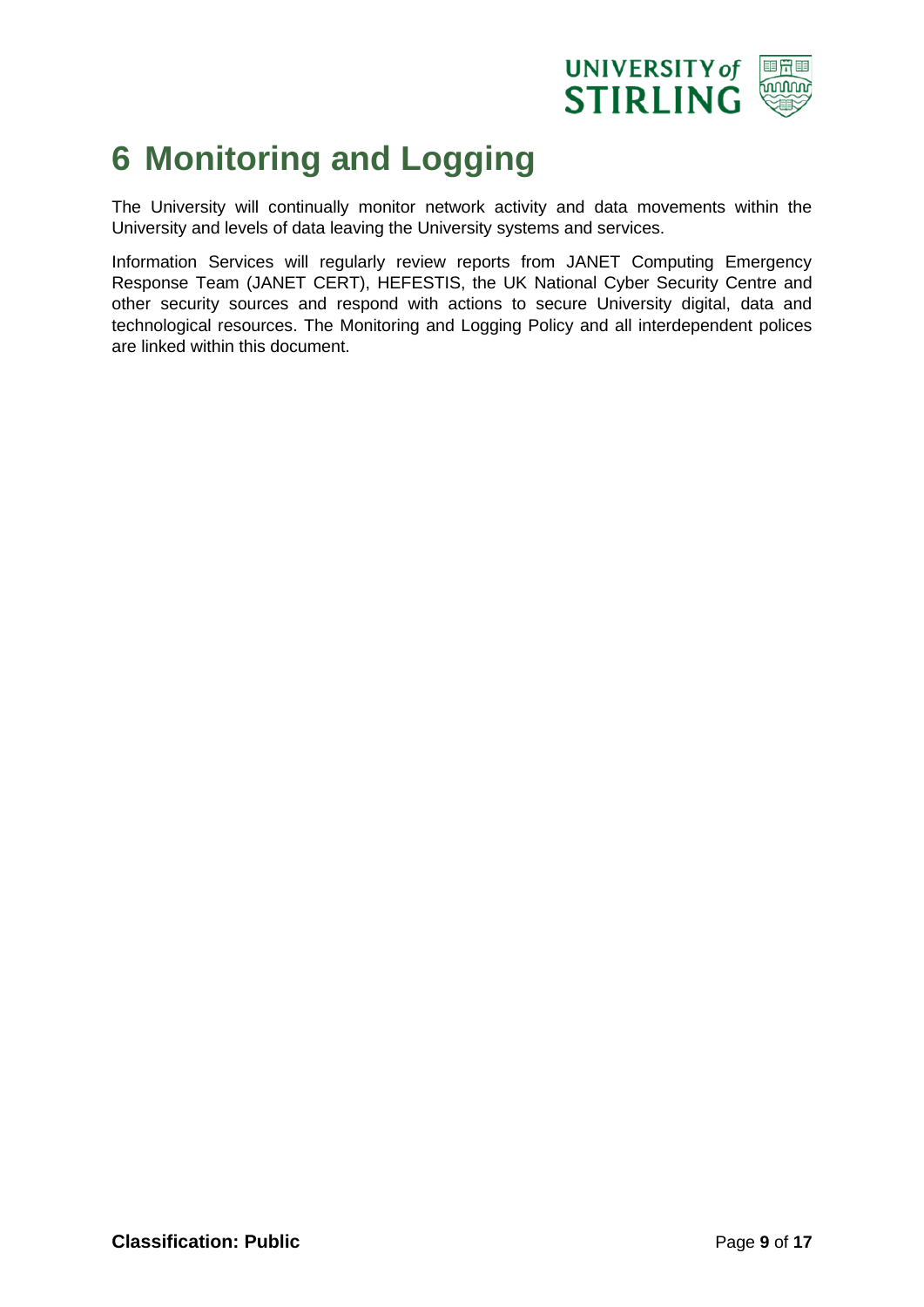

#### <span id="page-8-0"></span>**6 Monitoring and Logging**

The University will continually monitor network activity and data movements within the University and levels of data leaving the University systems and services.

Information Services will regularly review reports from JANET Computing Emergency Response Team (JANET CERT), HEFESTIS, the UK National Cyber Security Centre and other security sources and respond with actions to secure University digital, data and technological resources. The Monitoring and Logging Policy and all interdependent polices are linked within this document.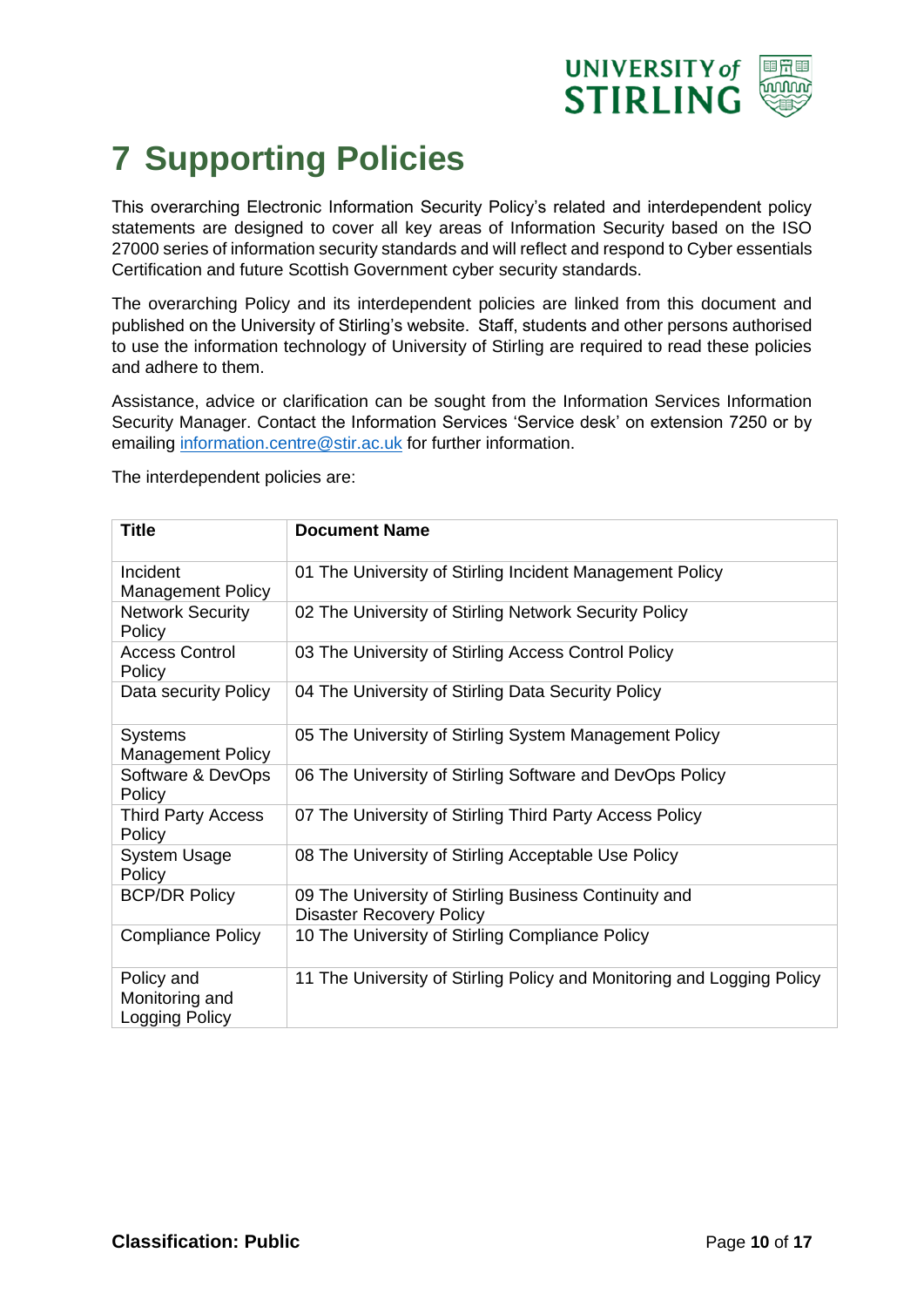

### <span id="page-9-0"></span>**7 Supporting Policies**

This overarching Electronic Information Security Policy's related and interdependent policy statements are designed to cover all key areas of Information Security based on the ISO 27000 series of information security standards and will reflect and respond to Cyber essentials Certification and future Scottish Government cyber security standards.

The overarching Policy and its interdependent policies are linked from this document and published on the University of Stirling's website. Staff, students and other persons authorised to use the information technology of University of Stirling are required to read these policies and adhere to them.

Assistance, advice or clarification can be sought from the Information Services Information Security Manager. Contact the Information Services 'Service desk' on extension 7250 or by emailing [information.centre@stir.ac.uk](mailto:information.centre@stir.ac.uk) for further information.

The interdependent policies are:

| <b>Title</b>                                          | <b>Document Name</b>                                                                     |
|-------------------------------------------------------|------------------------------------------------------------------------------------------|
| Incident<br><b>Management Policy</b>                  | 01 The University of Stirling Incident Management Policy                                 |
| <b>Network Security</b><br>Policy                     | 02 The University of Stirling Network Security Policy                                    |
| <b>Access Control</b><br>Policy                       | 03 The University of Stirling Access Control Policy                                      |
| Data security Policy                                  | 04 The University of Stirling Data Security Policy                                       |
| <b>Systems</b><br><b>Management Policy</b>            | 05 The University of Stirling System Management Policy                                   |
| Software & DevOps<br>Policy                           | 06 The University of Stirling Software and DevOps Policy                                 |
| <b>Third Party Access</b><br>Policy                   | 07 The University of Stirling Third Party Access Policy                                  |
| <b>System Usage</b><br>Policy                         | 08 The University of Stirling Acceptable Use Policy                                      |
| <b>BCP/DR Policy</b>                                  | 09 The University of Stirling Business Continuity and<br><b>Disaster Recovery Policy</b> |
| <b>Compliance Policy</b>                              | 10 The University of Stirling Compliance Policy                                          |
| Policy and<br>Monitoring and<br><b>Logging Policy</b> | 11 The University of Stirling Policy and Monitoring and Logging Policy                   |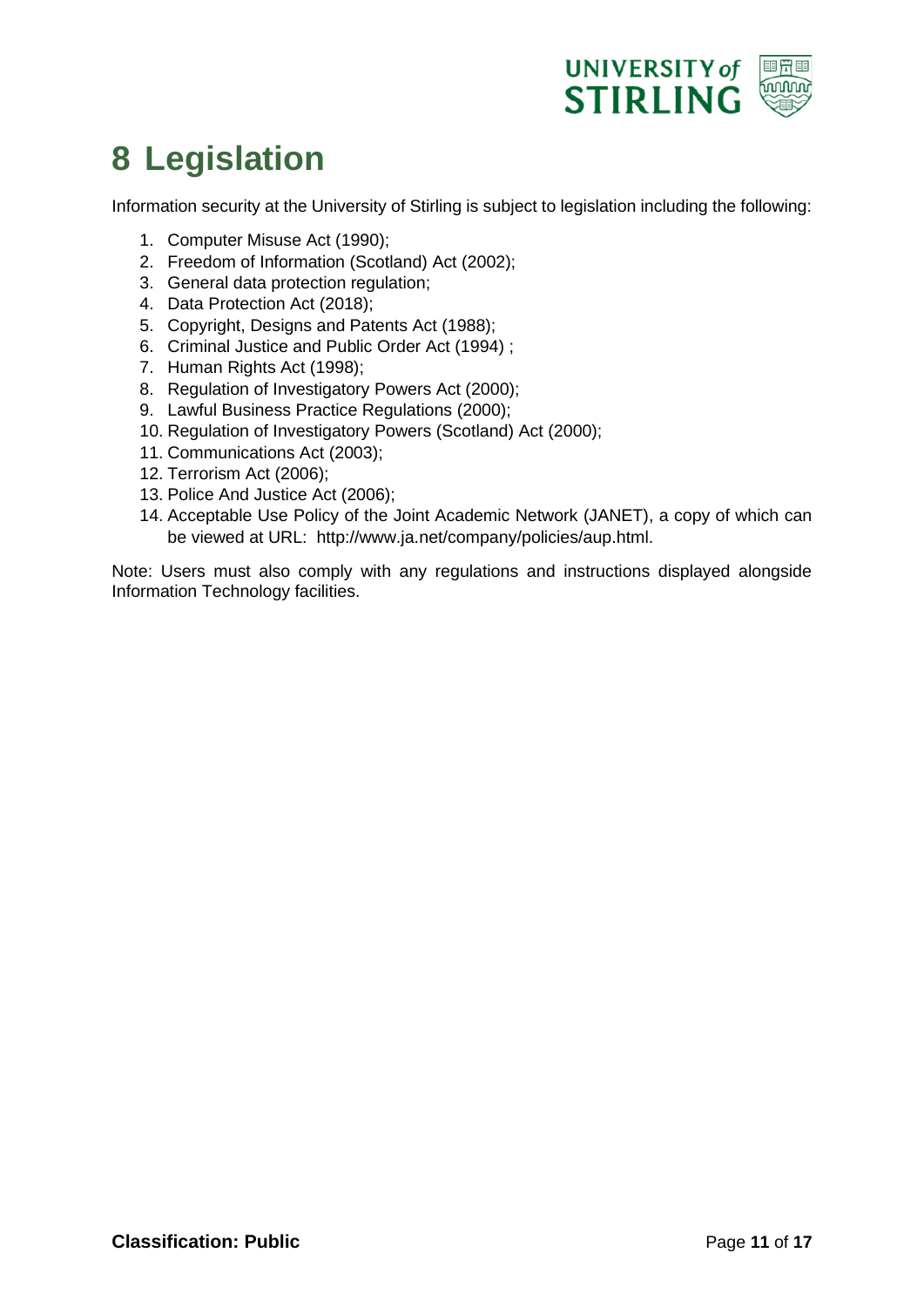

#### <span id="page-10-0"></span>**8 Legislation**

Information security at the University of Stirling is subject to legislation including the following:

- 1. Computer Misuse Act (1990);
- 2. Freedom of Information (Scotland) Act (2002);
- 3. General data protection regulation;
- 4. Data Protection Act (2018);
- 5. Copyright, Designs and Patents Act (1988);
- 6. Criminal Justice and Public Order Act (1994) ;
- 7. Human Rights Act (1998);
- 8. Regulation of Investigatory Powers Act (2000);
- 9. Lawful Business Practice Regulations (2000);
- 10. Regulation of Investigatory Powers (Scotland) Act (2000);
- 11. Communications Act (2003);
- 12. Terrorism Act (2006);
- 13. Police And Justice Act (2006);
- 14. Acceptable Use Policy of the Joint Academic Network (JANET), a copy of which can be viewed at URL: http://www.ja.net/company/policies/aup.html.

Note: Users must also comply with any regulations and instructions displayed alongside Information Technology facilities.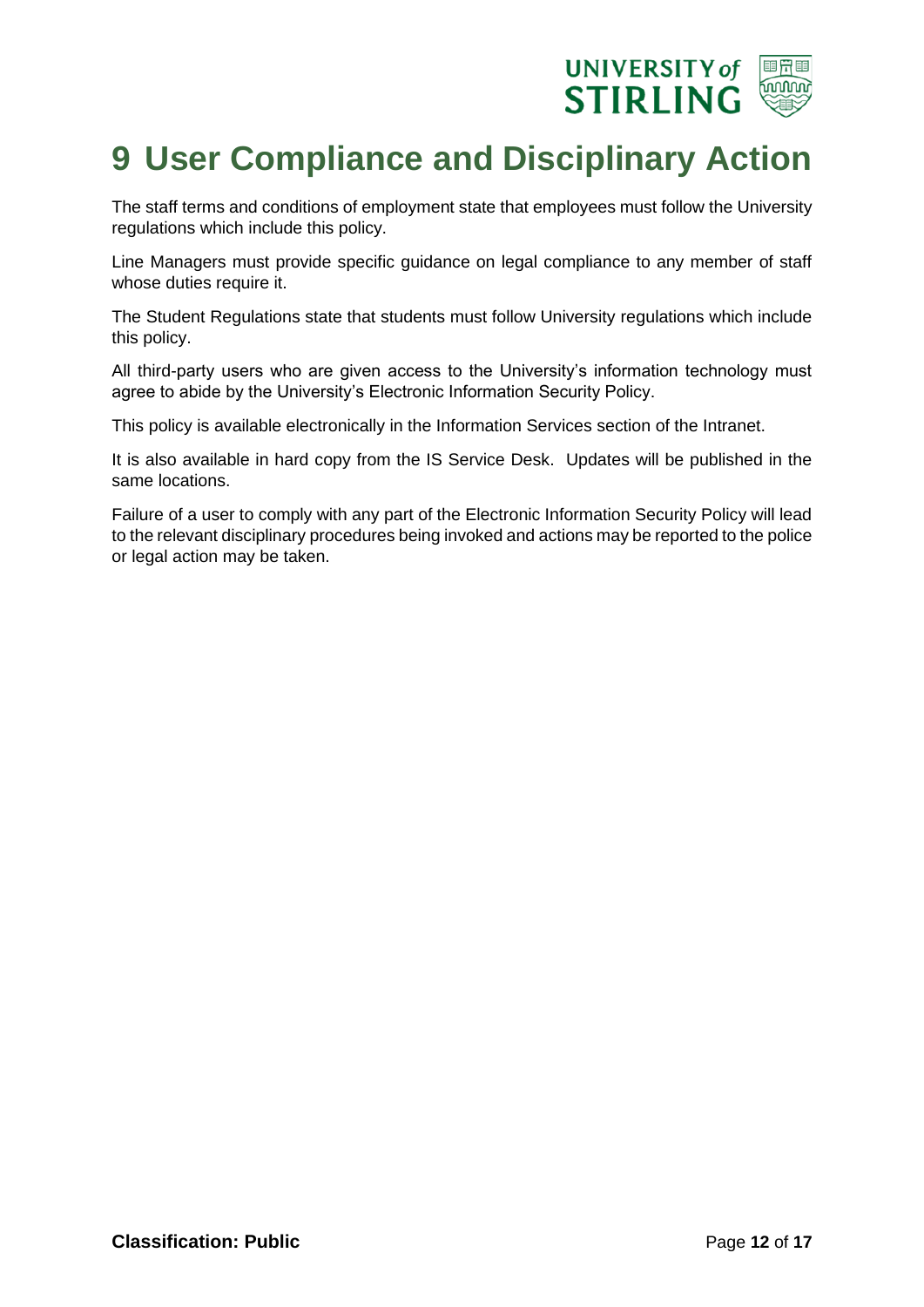

#### <span id="page-11-0"></span>**9 User Compliance and Disciplinary Action**

The staff terms and conditions of employment state that employees must follow the University regulations which include this policy.

Line Managers must provide specific guidance on legal compliance to any member of staff whose duties require it.

The Student Regulations state that students must follow University regulations which include this policy.

All third-party users who are given access to the University's information technology must agree to abide by the University's Electronic Information Security Policy.

This policy is available electronically in the Information Services section of the Intranet.

It is also available in hard copy from the IS Service Desk. Updates will be published in the same locations.

Failure of a user to comply with any part of the Electronic Information Security Policy will lead to the relevant disciplinary procedures being invoked and actions may be reported to the police or legal action may be taken.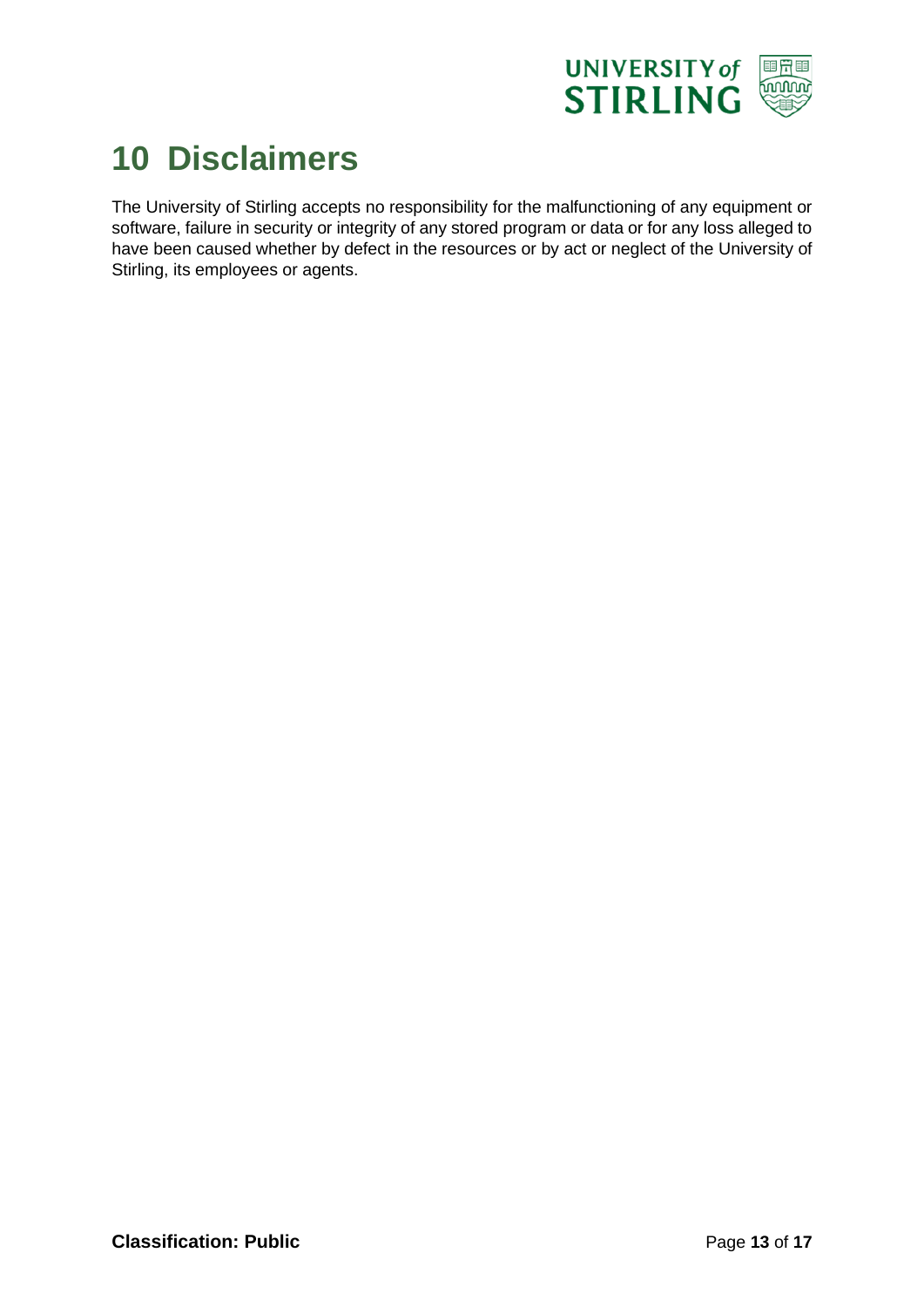

#### <span id="page-12-0"></span>**10 Disclaimers**

The University of Stirling accepts no responsibility for the malfunctioning of any equipment or software, failure in security or integrity of any stored program or data or for any loss alleged to have been caused whether by defect in the resources or by act or neglect of the University of Stirling, its employees or agents.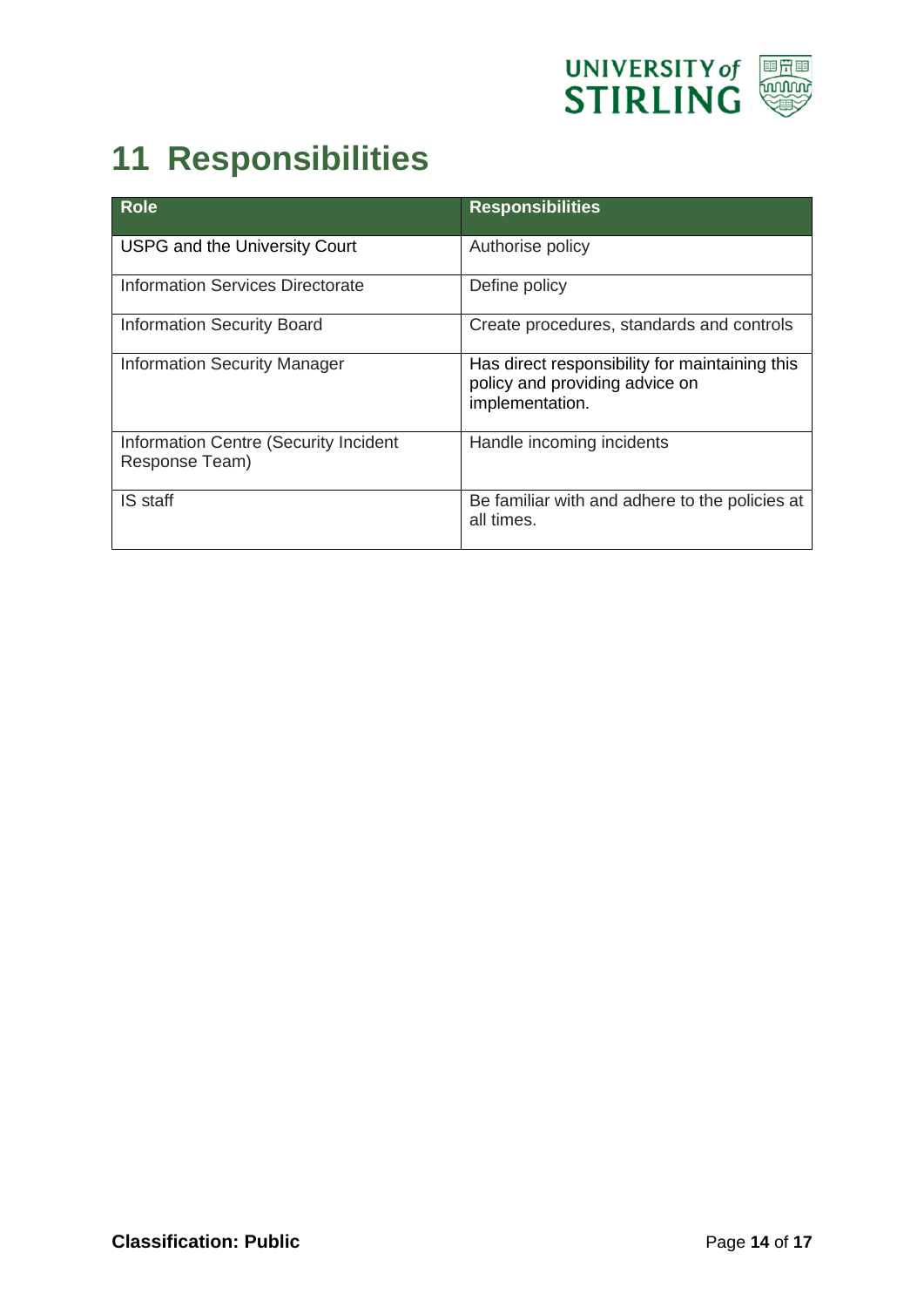

### <span id="page-13-0"></span>**11 Responsibilities**

| <b>Role</b>                                             | <b>Responsibilities</b>                                                                             |
|---------------------------------------------------------|-----------------------------------------------------------------------------------------------------|
| <b>USPG and the University Court</b>                    | Authorise policy                                                                                    |
| <b>Information Services Directorate</b>                 | Define policy                                                                                       |
| <b>Information Security Board</b>                       | Create procedures, standards and controls                                                           |
| <b>Information Security Manager</b>                     | Has direct responsibility for maintaining this<br>policy and providing advice on<br>implementation. |
| Information Centre (Security Incident<br>Response Team) | Handle incoming incidents                                                                           |
| IS staff                                                | Be familiar with and adhere to the policies at<br>all times.                                        |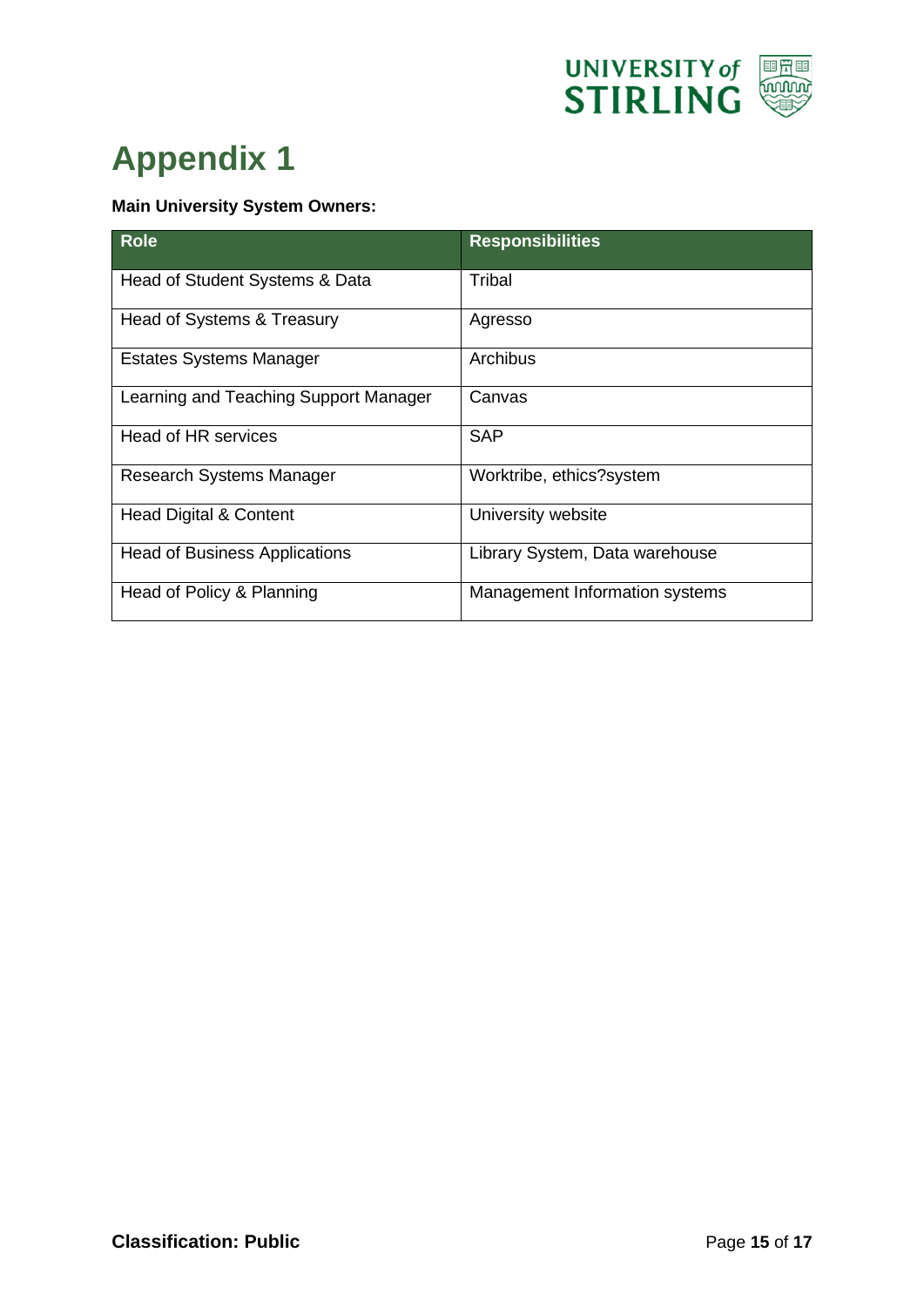

# <span id="page-14-0"></span>**Appendix 1**

#### **Main University System Owners:**

| <b>Role</b>                           | <b>Responsibilities</b>        |
|---------------------------------------|--------------------------------|
| Head of Student Systems & Data        | Tribal                         |
| Head of Systems & Treasury            | Agresso                        |
| <b>Estates Systems Manager</b>        | Archibus                       |
| Learning and Teaching Support Manager | Canvas                         |
| Head of HR services                   | SAP                            |
| Research Systems Manager              | Worktribe, ethics?system       |
| <b>Head Digital &amp; Content</b>     | University website             |
| <b>Head of Business Applications</b>  | Library System, Data warehouse |
| Head of Policy & Planning             | Management Information systems |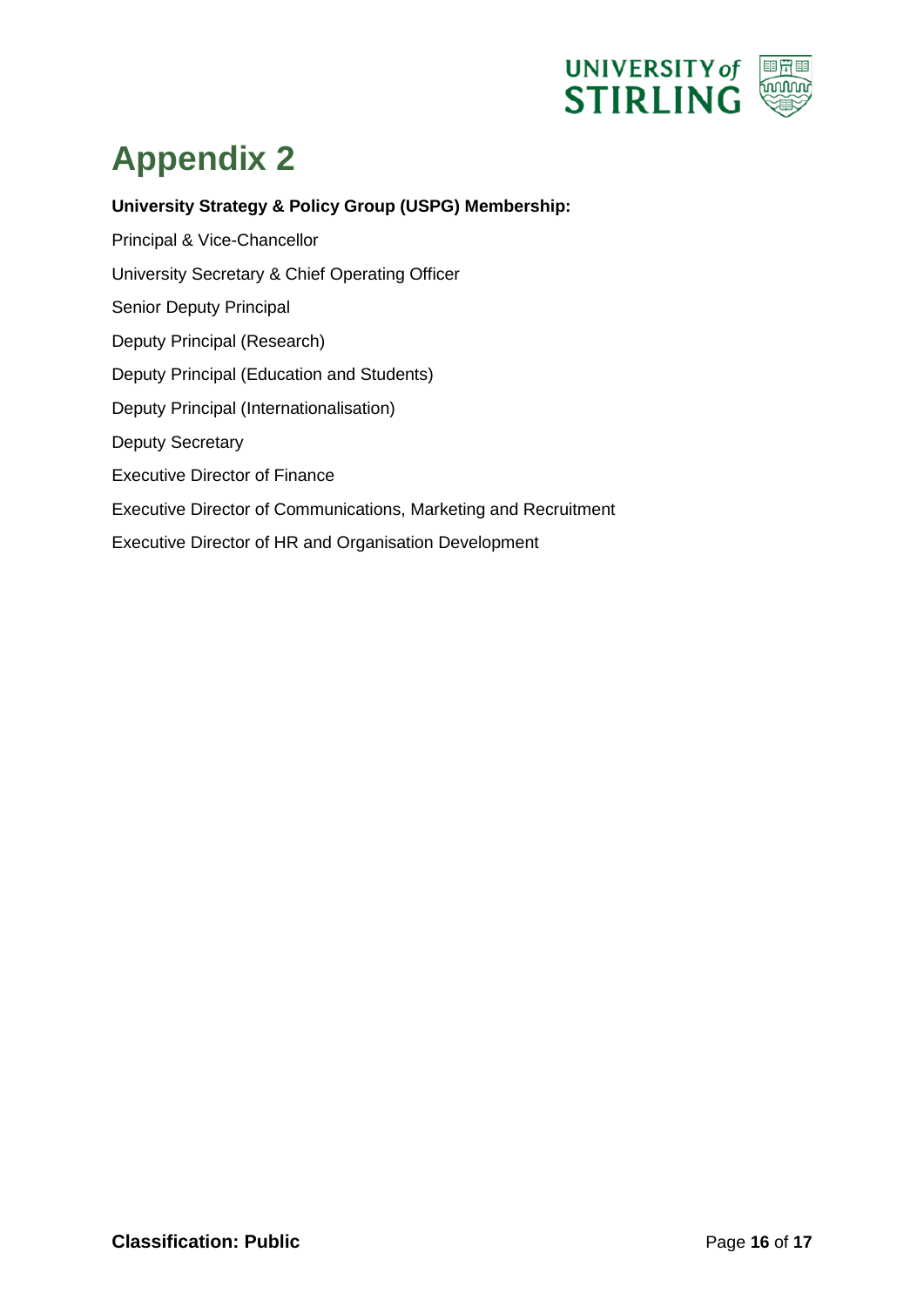

# <span id="page-15-0"></span>**Appendix 2**

**University Strategy & Policy Group (USPG) Membership:** 

Principal & Vice-Chancellor University Secretary & Chief Operating Officer Senior Deputy Principal Deputy Principal (Research) Deputy Principal (Education and Students) Deputy Principal (Internationalisation) Deputy Secretary Executive Director of Finance Executive Director of Communications, Marketing and Recruitment Executive Director of HR and Organisation Development